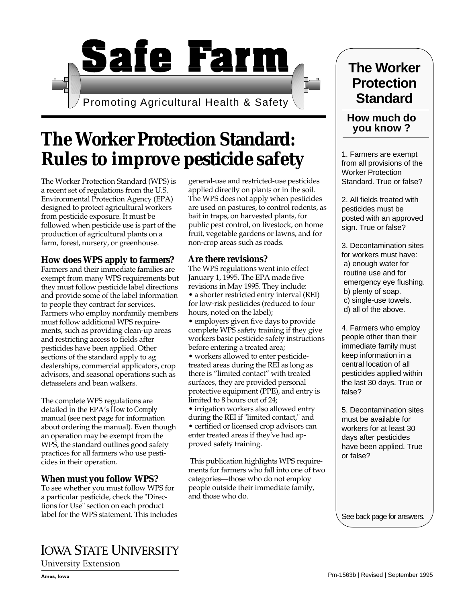# **Safe Farm**

Promoting Agricultural Health & Safety

# **The Worker Protection Standard: Rules to improve pesticide safety**

The Worker Protection Standard (WPS) is a recent set of regulations from the U.S. Environmental Protection Agency (EPA) designed to protect agricultural workers from pesticide exposure. It must be followed when pesticide use is part of the production of agricultural plants on a farm, forest, nursery, or greenhouse.

#### **How does WPS apply to farmers?**

Farmers and their immediate families are exempt from many WPS requirements but they must follow pesticide label directions and provide some of the label information to people they contract for services. Farmers who employ nonfamily members must follow additional WPS requirements, such as providing clean-up areas and restricting access to fields after pesticides have been applied. Other sections of the standard apply to ag dealerships, commercial applicators, crop advisors, and seasonal operations such as detasselers and bean walkers.

The complete WPS regulations are detailed in the EPA's *How to Comply* manual (see next page for information about ordering the manual). Even though an operation may be exempt from the WPS, the standard outlines good safety practices for all farmers who use pesticides in their operation.

## **When must you follow WPS?**

To see whether you must follow WPS for a particular pesticide, check the "Directions for Use" section on each product label for the WPS statement. This includes

# **IOWA STATE UNIVERSITY**

University Extension

general-use and restricted-use pesticides applied directly on plants or in the soil. The WPS does not apply when pesticides are used on pastures, to control rodents, as bait in traps, on harvested plants, for public pest control, on livestock, on home fruit, vegetable gardens or lawns, and for non-crop areas such as roads.

#### **Are there revisions?**

The WPS regulations went into effect January 1, 1995. The EPA made five revisions in May 1995. They include: • a shorter restricted entry interval (REI) for low-risk pesticides (reduced to four hours, noted on the label);

• employers given five days to provide complete WPS safety training if they give workers basic pesticide safety instructions before entering a treated area;

• workers allowed to enter pesticidetreated areas during the REI as long as there is "limited contact" with treated surfaces, they are provided personal protective equipment (PPE), and entry is limited to 8 hours out of 24;

• irrigation workers also allowed entry during the REI if "limited contact," and • certified or licensed crop advisors can enter treated areas if they've had approved safety training.

 This publication highlights WPS requirements for farmers who fall into one of two categories—those who do not employ people outside their immediate family, and those who do.

# **The Worker Protection Standard**

## **How much do you know ?**

1. Farmers are exempt from all provisions of the Worker Protection Standard. True or false?

2. All fields treated with pesticides must be posted with an approved sign. True or false?

3. Decontamination sites for workers must have: a) enough water for routine use and for emergency eye flushing. b) plenty of soap. c) single-use towels. d) all of the above.

4. Farmers who employ people other than their immediate family must keep information in a central location of all pesticides applied within the last 30 days. True or false?

5. Decontamination sites must be available for workers for at least 30 days after pesticides have been applied. True or false?

See back page for answers.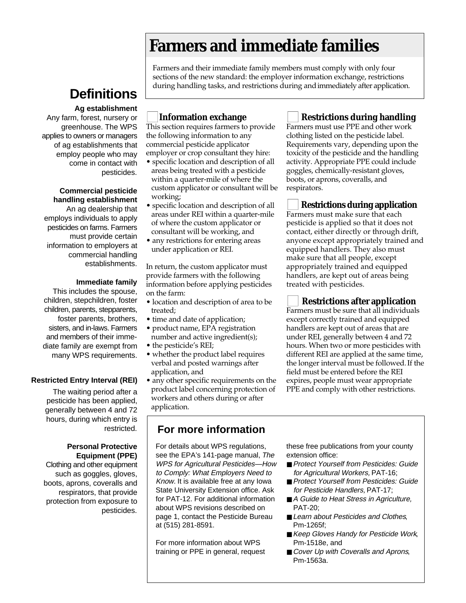# **Farmers and immediate families**

Farmers and their immediate family members must comply with only four sections of the new standard: the employer information exchange, restrictions during handling tasks, and restrictions during and immediately after application.

# **Definitions**

#### **Ag establishment**

Any farm, forest, nursery or greenhouse. The WPS applies to owners or managers of ag establishments that employ people who may come in contact with pesticides.

#### **Commercial pesticide handling establishment**

An ag dealership that employs individuals to apply pesticides on farms. Farmers must provide certain information to employers at commercial handling establishments.

#### **Immediate family**

This includes the spouse, children, stepchildren, foster children, parents, stepparents, foster parents, brothers, sisters, and in-laws. Farmers and members of their immediate family are exempt from many WPS requirements.

#### **Restricted Entry Interval (REI)**

The waiting period after a pesticide has been applied, generally between 4 and 72 hours, during which entry is restricted.

#### **Personal Protective Equipment (PPE)**

Clothing and other equipment such as goggles, gloves, boots, aprons, coveralls and respirators, that provide protection from exposure to pesticides.

## **Information exchange**

This section requires farmers to provide the following information to any commercial pesticide applicator employer or crop consultant they hire:

- specific location and description of all areas being treated with a pesticide within a quarter-mile of where the custom applicator or consultant will be working;
- specific location and description of all areas under REI within a quarter-mile of where the custom applicator or consultant will be working, and
- any restrictions for entering areas under application or REI.

In return, the custom applicator must provide farmers with the following information before applying pesticides on the farm:

- location and description of area to be treated;
- time and date of application;
- product name, EPA registration number and active ingredient(s);
- the pesticide's REI;
- whether the product label requires verbal and posted warnings after application, and
- any other specific requirements on the product label concerning protection of workers and others during or after application.

# **For more information**

For details about WPS regulations, see the EPA's 141-page manual, The WPS for Agricultural Pesticides—How to Comply: What Employers Need to Know. It is available free at any Iowa State University Extension office. Ask for PAT-12. For additional information about WPS revisions described on page 1, contact the Pesticide Bureau at (515) 281-8591.

For more information about WPS training or PPE in general, request these free publications from your county extension office:

- Protect Yourself from Pesticides: Guide for Agricultural Workers, PAT-16;
- Protect Yourself from Pesticides: Guide for Pesticide Handlers, PAT-17;
- A Guide to Heat Stress in Agriculture, PAT-20;
- Learn about Pesticides and Clothes, Pm-1265f;
- Keep Gloves Handy for Pesticide Work, Pm-1518e, and
- Cover Up with Coveralls and Aprons, Pm-1563a.

**Restrictions during handling** 

Farmers must use PPE and other work clothing listed on the pesticide label. Requirements vary, depending upon the toxicity of the pesticide and the handling activity. Appropriate PPE could include goggles, chemically-resistant gloves, boots, or aprons, coveralls, and respirators.

## ■ **Restrictions during application**

Farmers must make sure that each pesticide is applied so that it does not contact, either directly or through drift, anyone except appropriately trained and equipped handlers. They also must make sure that all people, except appropriately trained and equipped handlers, are kept out of areas being treated with pesticides.

## **Restrictions after application**

Farmers must be sure that all individuals except correctly trained and equipped handlers are kept out of areas that are under REI, generally between 4 and 72 hours. When two or more pesticides with different REI are applied at the same time, the longer interval must be followed.If the field must be entered before the REI expires, people must wear appropriate PPE and comply with other restrictions.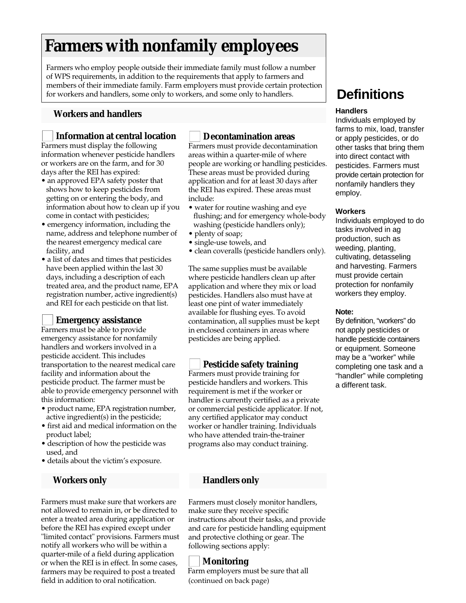# **Farmers with nonfamily employees**

Farmers who employ people outside their immediate family must follow a number of WPS requirements, in addition to the requirements that apply to farmers and members of their immediate family. Farm employers must provide certain protection for workers and handlers, some only to workers, and some only to handlers.

#### **Workers and handlers**

#### ■ **Information at central location**

Farmers must display the following information whenever pesticide handlers or workers are on the farm, and for 30 days after the REI has expired:

- an approved EPA safety poster that shows how to keep pesticides from getting on or entering the body, and information about how to clean up if you come in contact with pesticides;
- emergency information, including the name, address and telephone number of the nearest emergency medical care facility, and
- a list of dates and times that pesticides have been applied within the last 30 days, including a description of each treated area, and the product name, EPA registration number, active ingredient(s) and REI for each pesticide on that list.

#### ■ **Emergency assistance**

Farmers must be able to provide emergency assistance for nonfamily handlers and workers involved in a pesticide accident. This includes transportation to the nearest medical care facility and information about the pesticide product. The farmer must be able to provide emergency personnel with this information:

- product name, EPA registration number, active ingredient(s) in the pesticide;
- first aid and medical information on the product label;
- description of how the pesticide was used, and
- details about the victim's exposure.

#### **Workers only**

Farmers must make sure that workers are not allowed to remain in, or be directed to enter a treated area during application or before the REI has expired except under "limited contact" provisions. Farmers must notify all workers who will be within a quarter-mile of a field during application or when the REI is in effect. In some cases, farmers may be required to post a treated field in addition to oral notification.

#### ■ **Decontamination areas**

Farmers must provide decontamination areas within a quarter-mile of where people are working or handling pesticides. These areas must be provided during application and for at least 30 days after the REI has expired. These areas must include:

- water for routine washing and eye flushing; and for emergency whole-body washing (pesticide handlers only);
- plenty of soap;
- single-use towels, and
- clean coveralls (pesticide handlers only).

The same supplies must be available where pesticide handlers clean up after application and where they mix or load pesticides. Handlers also must have at least one pint of water immediately available for flushing eyes. To avoid contamination, all supplies must be kept in enclosed containers in areas where pesticides are being applied.

#### **Pesticide safety training**

Farmers must provide training for pesticide handlers and workers. This requirement is met if the worker or handler is currently certified as a private or commercial pesticide applicator. If not, any certified applicator may conduct worker or handler training. Individuals who have attended train-the-trainer programs also may conduct training.

#### **Handlers only**

Farmers must closely monitor handlers, make sure they receive specific instructions about their tasks, and provide and care for pesticide handling equipment and protective clothing or gear. The following sections apply:

## ■ **Monitoring**

Farm employers must be sure that all (continued on back page)

# **Definitions**

#### **Handlers**

Individuals employed by farms to mix, load, transfer or apply pesticides, or do other tasks that bring them into direct contact with pesticides. Farmers must provide certain protection for nonfamily handlers they employ.

#### **Workers**

Individuals employed to do tasks involved in ag production, such as weeding, planting, cultivating, detasseling and harvesting. Farmers must provide certain protection for nonfamily workers they employ.

#### **Note:**

By definition, "workers" do not apply pesticides or handle pesticide containers or equipment. Someone may be a "worker" while completing one task and a "handler" while completing a different task.